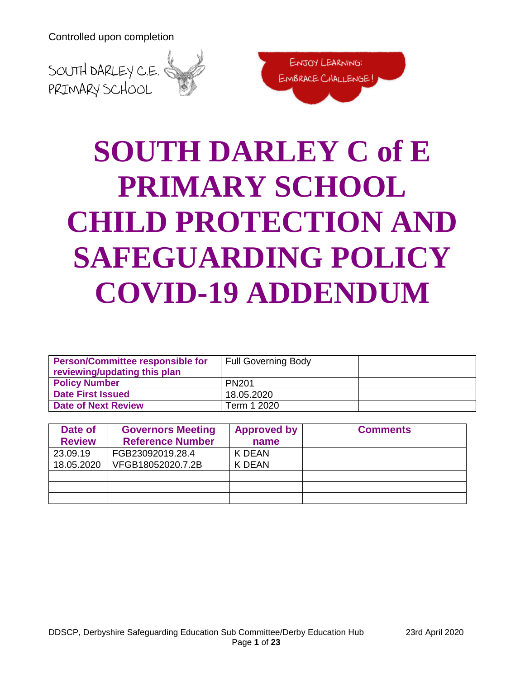



# **SOUTH DARLEY C of E PRIMARY SCHOOL CHILD PROTECTION AND SAFEGUARDING POLICY COVID-19 ADDENDUM**

| <b>Person/Committee responsible for</b><br>reviewing/updating this plan | <b>Full Governing Body</b> |  |
|-------------------------------------------------------------------------|----------------------------|--|
| <b>Policy Number</b>                                                    | <b>PN201</b>               |  |
| <b>Date First Issued</b>                                                | 18.05.2020                 |  |
| <b>Date of Next Review</b>                                              | Term 1 2020                |  |

| Date of<br><b>Review</b> | <b>Governors Meeting</b><br><b>Reference Number</b> | <b>Approved by</b><br>name | <b>Comments</b> |
|--------------------------|-----------------------------------------------------|----------------------------|-----------------|
|                          |                                                     |                            |                 |
| 23.09.19                 | FGB23092019.28.4                                    | K DEAN                     |                 |
| 18.05.2020               | VFGB18052020.7.2B                                   | K DEAN                     |                 |
|                          |                                                     |                            |                 |
|                          |                                                     |                            |                 |
|                          |                                                     |                            |                 |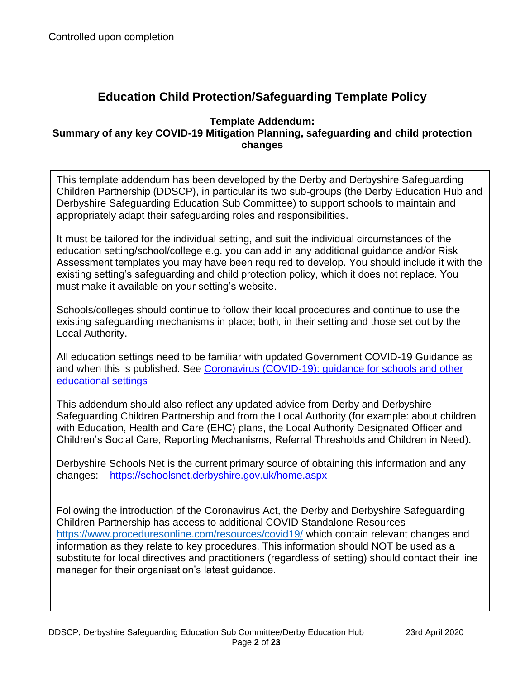# **Education Child Protection/Safeguarding Template Policy**

#### **Template Addendum: Summary of any key COVID-19 Mitigation Planning, safeguarding and child protection changes**

This template addendum has been developed by the Derby and Derbyshire Safeguarding Children Partnership (DDSCP), in particular its two sub-groups (the Derby Education Hub and Derbyshire Safeguarding Education Sub Committee) to support schools to maintain and appropriately adapt their safeguarding roles and responsibilities.

It must be tailored for the individual setting, and suit the individual circumstances of the education setting/school/college e.g. you can add in any additional guidance and/or Risk Assessment templates you may have been required to develop. You should include it with the existing setting's safeguarding and child protection policy, which it does not replace. You must make it available on your setting's website.

Schools/colleges should continue to follow their local procedures and continue to use the existing safeguarding mechanisms in place; both, in their setting and those set out by the Local Authority.

All education settings need to be familiar with updated Government COVID-19 Guidance as and when this is published. See [Coronavirus \(COVID-19\): guidance for](https://www.gov.uk/government/collections/coronavirus-covid-19-guidance-for-schools-and-other-educational-settings) schools and other [educational settings](https://www.gov.uk/government/collections/coronavirus-covid-19-guidance-for-schools-and-other-educational-settings)

This addendum should also reflect any updated advice from Derby and Derbyshire Safeguarding Children Partnership and from the Local Authority (for example: about children with Education, Health and Care (EHC) plans, the Local Authority Designated Officer and Children's Social Care, Reporting Mechanisms, Referral Thresholds and Children in Need).

Derbyshire Schools Net is the current primary source of obtaining this information and any changes: <https://schoolsnet.derbyshire.gov.uk/home.aspx>

Following the introduction of the Coronavirus Act, the Derby and Derbyshire Safeguarding Children Partnership has access to additional COVID Standalone Resources <https://www.proceduresonline.com/resources/covid19/> which contain relevant changes and information as they relate to key procedures. This information should NOT be used as a substitute for local directives and practitioners (regardless of setting) should contact their line manager for their organisation's latest guidance.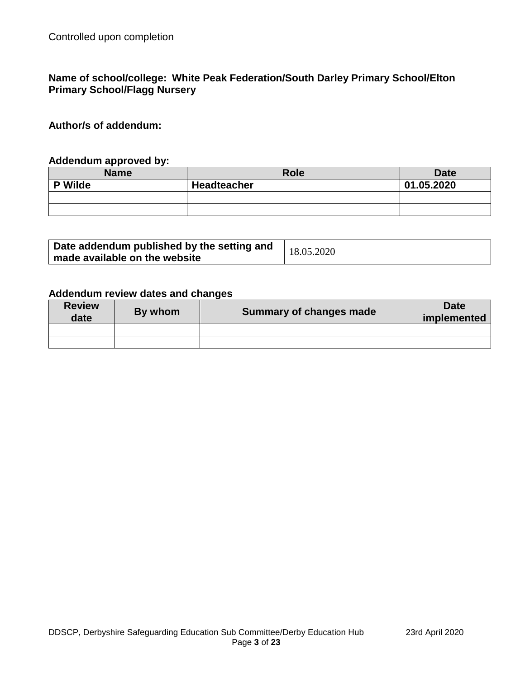#### **Name of school/college: White Peak Federation/South Darley Primary School/Elton Primary School/Flagg Nursery**

**Author/s of addendum:** 

#### **Addendum approved by:**

| <b>Name</b> | <b>Role</b>        | <b>Date</b> |
|-------------|--------------------|-------------|
| Wilde<br>D. | <b>Headteacher</b> | 01.05.2020  |
|             |                    |             |
|             |                    |             |

| Date addendum published by the setting and | 18.05.2020 |
|--------------------------------------------|------------|
| made available on the website              |            |

#### **Addendum review dates and changes**

| <b>Review</b><br>date | By whom | <b>Summary of changes made</b> | <b>Date</b><br>implemented |
|-----------------------|---------|--------------------------------|----------------------------|
|                       |         |                                |                            |
|                       |         |                                |                            |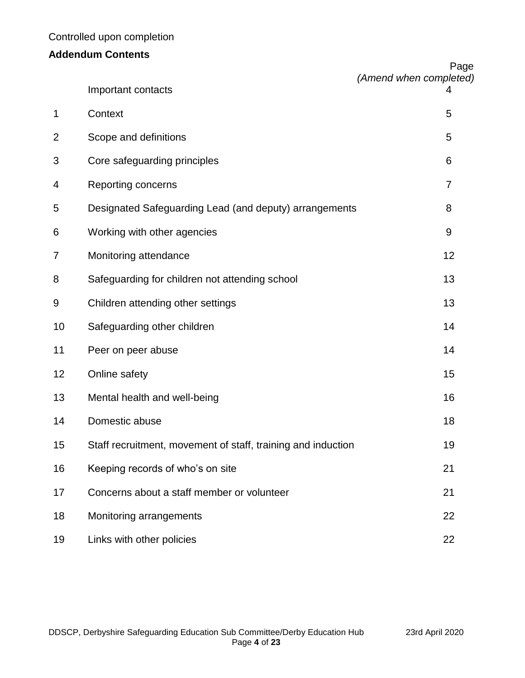# **Addendum Contents**

|                |                                                              | Page<br>(Amend when completed) |
|----------------|--------------------------------------------------------------|--------------------------------|
|                | Important contacts                                           | 4                              |
| 1              | Context                                                      | 5                              |
| $\overline{2}$ | Scope and definitions                                        | 5                              |
| 3              | Core safeguarding principles                                 | 6                              |
| 4              | Reporting concerns                                           | 7                              |
| 5              | Designated Safeguarding Lead (and deputy) arrangements       | 8                              |
| 6              | Working with other agencies                                  | 9                              |
| 7              | Monitoring attendance                                        | 12                             |
| 8              | Safeguarding for children not attending school               | 13                             |
| 9              | Children attending other settings                            | 13                             |
| 10             | Safeguarding other children                                  | 14                             |
| 11             | Peer on peer abuse                                           | 14                             |
| 12             | Online safety                                                | 15                             |
| 13             | Mental health and well-being                                 | 16                             |
| 14             | Domestic abuse                                               | 18                             |
| 15             | Staff recruitment, movement of staff, training and induction | 19                             |
| 16             | Keeping records of who's on site                             | 21                             |
| 17             | Concerns about a staff member or volunteer                   | 21                             |
| 18             | Monitoring arrangements                                      | 22                             |
| 19             | Links with other policies                                    | 22                             |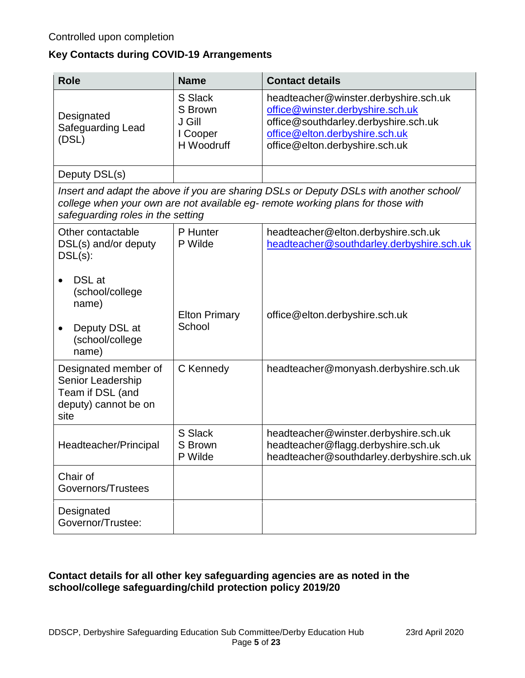# **Key Contacts during COVID-19 Arrangements**

| <b>Role</b>                                                                                                                                                                                                    | <b>Name</b>                                            | <b>Contact details</b>                                                                                                                                                                |
|----------------------------------------------------------------------------------------------------------------------------------------------------------------------------------------------------------------|--------------------------------------------------------|---------------------------------------------------------------------------------------------------------------------------------------------------------------------------------------|
| Designated<br>Safeguarding Lead<br>(DSL)                                                                                                                                                                       | S Slack<br>S Brown<br>J Gill<br>I Cooper<br>H Woodruff | headteacher@winster.derbyshire.sch.uk<br>office@winster.derbyshire.sch.uk<br>office@southdarley.derbyshire.sch.uk<br>office@elton.derbyshire.sch.uk<br>office@elton.derbyshire.sch.uk |
| Deputy DSL(s)                                                                                                                                                                                                  |                                                        |                                                                                                                                                                                       |
| Insert and adapt the above if you are sharing DSLs or Deputy DSLs with another school/<br>college when your own are not available eg- remote working plans for those with<br>safeguarding roles in the setting |                                                        |                                                                                                                                                                                       |
| Other contactable<br>DSL(s) and/or deputy<br>$DSL(s)$ :                                                                                                                                                        | P Hunter<br>P Wilde                                    | headteacher@elton.derbyshire.sch.uk<br>headteacher@southdarley.derbyshire.sch.uk                                                                                                      |
| <b>DSL</b> at<br>(school/college<br>name)<br>Deputy DSL at<br>$\bullet$<br>(school/college<br>name)                                                                                                            | <b>Elton Primary</b><br>School                         | office@elton.derbyshire.sch.uk                                                                                                                                                        |
| Designated member of<br>Senior Leadership<br>Team if DSL (and<br>deputy) cannot be on<br>site                                                                                                                  | C Kennedy                                              | headteacher@monyash.derbyshire.sch.uk                                                                                                                                                 |
| Headteacher/Principal                                                                                                                                                                                          | S Slack<br>S Brown<br>P Wilde                          | headteacher@winster.derbyshire.sch.uk<br>headteacher@flagg.derbyshire.sch.uk<br>headteacher@southdarley.derbyshire.sch.uk                                                             |
| Chair of<br>Governors/Trustees                                                                                                                                                                                 |                                                        |                                                                                                                                                                                       |
| Designated<br>Governor/Trustee:                                                                                                                                                                                |                                                        |                                                                                                                                                                                       |

#### **Contact details for all other key safeguarding agencies are as noted in the school/college safeguarding/child protection policy 2019/20**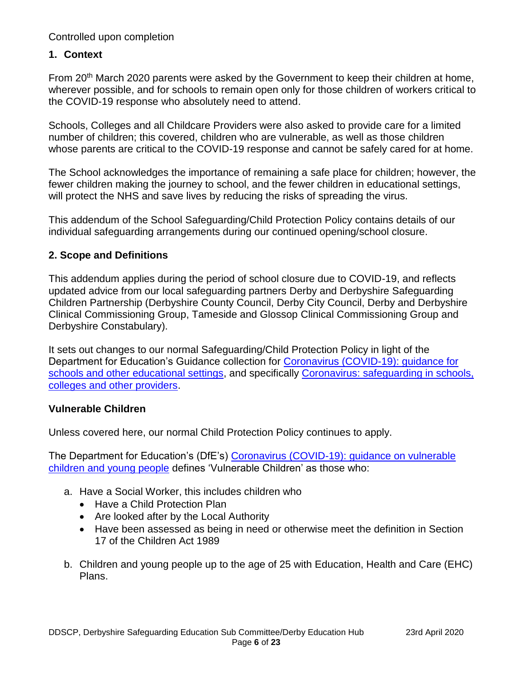### **1. Context**

From 20<sup>th</sup> March 2020 parents were asked by the Government to keep their children at home, wherever possible, and for schools to remain open only for those children of workers critical to the COVID-19 response who absolutely need to attend.

Schools, Colleges and all Childcare Providers were also asked to provide care for a limited number of children; this covered, children who are vulnerable, as well as those children whose parents are critical to the COVID-19 response and cannot be safely cared for at home.

The School acknowledges the importance of remaining a safe place for children; however, the fewer children making the journey to school, and the fewer children in educational settings, will protect the NHS and save lives by reducing the risks of spreading the virus.

This addendum of the School Safeguarding/Child Protection Policy contains details of our individual safeguarding arrangements during our continued opening/school closure.

#### **2. Scope and Definitions**

This addendum applies during the period of school closure due to COVID-19, and reflects updated advice from our local safeguarding partners Derby and Derbyshire Safeguarding Children Partnership (Derbyshire County Council, Derby City Council, Derby and Derbyshire Clinical Commissioning Group, Tameside and Glossop Clinical Commissioning Group and Derbyshire Constabulary).

It sets out changes to our normal Safeguarding/Child Protection Policy in light of the Department for Education's Guidance collection for [Coronavirus \(COVID-19\): guidance for](https://www.gov.uk/government/collections/coronavirus-covid-19-guidance-for-schools-and-other-educational-settings)  [schools and other educational settings,](https://www.gov.uk/government/collections/coronavirus-covid-19-guidance-for-schools-and-other-educational-settings) and specifically Coronavirus: safeguarding in schools, [colleges and other providers.](https://www.gov.uk/government/publications/covid-19-safeguarding-in-schools-colleges-and-other-providers)

#### **Vulnerable Children**

Unless covered here, our normal Child Protection Policy continues to apply.

The Department for Education's (DfE's) Coronavirus (COVID-19): guidance on vulnerable [children and young people](https://www.gov.uk/government/publications/coronavirus-covid-19-guidance-on-vulnerable-children-and-young-people/coronavirus-covid-19-guidance-on-vulnerable-children-and-young-people) defines 'Vulnerable Children' as those who:

- a. Have a Social Worker, this includes children who
	- Have a Child Protection Plan
	- Are looked after by the Local Authority
	- Have been assessed as being in need or otherwise meet the definition in Section 17 of the Children Act 1989
- b. Children and young people up to the age of 25 with Education, Health and Care (EHC) Plans.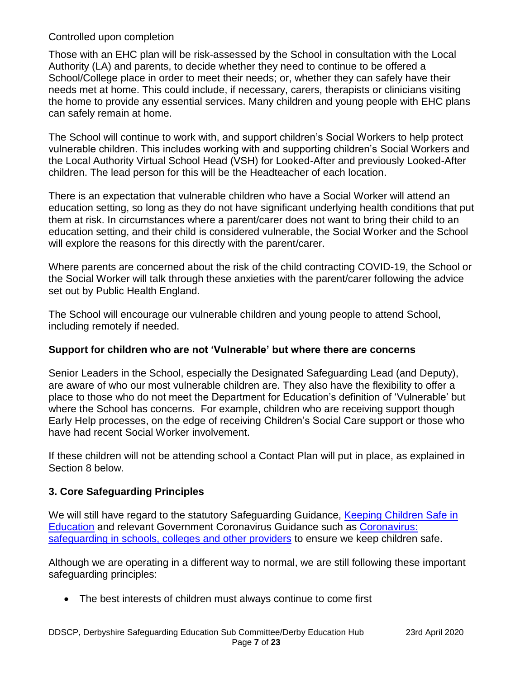Those with an EHC plan will be risk-assessed by the School in consultation with the Local Authority (LA) and parents, to decide whether they need to continue to be offered a School/College place in order to meet their needs; or, whether they can safely have their needs met at home. This could include, if necessary, carers, therapists or clinicians visiting the home to provide any essential services. Many children and young people with EHC plans can safely remain at home.

The School will continue to work with, and support children's Social Workers to help protect vulnerable children. This includes working with and supporting children's Social Workers and the Local Authority Virtual School Head (VSH) for Looked-After and previously Looked-After children. The lead person for this will be the Headteacher of each location.

There is an expectation that vulnerable children who have a Social Worker will attend an education setting, so long as they do not have significant underlying health conditions that put them at risk. In circumstances where a parent/carer does not want to bring their child to an education setting, and their child is considered vulnerable, the Social Worker and the School will explore the reasons for this directly with the parent/carer.

Where parents are concerned about the risk of the child contracting COVID-19, the School or the Social Worker will talk through these anxieties with the parent/carer following the advice set out by Public Health England.

The School will encourage our vulnerable children and young people to attend School, including remotely if needed.

# **Support for children who are not 'Vulnerable' but where there are concerns**

Senior Leaders in the School, especially the Designated Safeguarding Lead (and Deputy), are aware of who our most vulnerable children are. They also have the flexibility to offer a place to those who do not meet the Department for Education's definition of 'Vulnerable' but where the School has concerns. For example, children who are receiving support though Early Help processes, on the edge of receiving Children's Social Care support or those who have had recent Social Worker involvement.

If these children will not be attending school a Contact Plan will put in place, as explained in Section 8 below.

# **3. Core Safeguarding Principles**

We will still have regard to the statutory Safeguarding Guidance, Keeping Children Safe in [Education](https://www.gov.uk/government/publications/keeping-children-safe-in-education--2) and relevant Government Coronavirus Guidance such as [Coronavirus:](https://www.gov.uk/government/publications/covid-19-safeguarding-in-schools-colleges-and-other-providers/coronavirus-covid-19-safeguarding-in-schools-colleges-and-other-providers)  [safeguarding in schools, colleges and other providers](https://www.gov.uk/government/publications/covid-19-safeguarding-in-schools-colleges-and-other-providers/coronavirus-covid-19-safeguarding-in-schools-colleges-and-other-providers) to ensure we keep children safe.

Although we are operating in a different way to normal, we are still following these important safeguarding principles:

The best interests of children must always continue to come first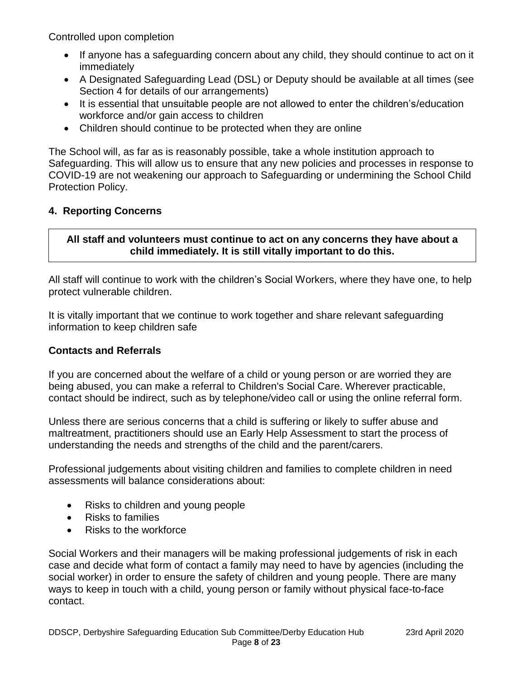- If anyone has a safeguarding concern about any child, they should continue to act on it immediately
- A Designated Safeguarding Lead (DSL) or Deputy should be available at all times (see Section 4 for details of our arrangements)
- It is essential that unsuitable people are not allowed to enter the children's/education workforce and/or gain access to children
- Children should continue to be protected when they are online

The School will, as far as is reasonably possible, take a whole institution approach to Safeguarding. This will allow us to ensure that any new policies and processes in response to COVID-19 are not weakening our approach to Safeguarding or undermining the School Child Protection Policy.

# **4. Reporting Concerns**

# **All staff and volunteers must continue to act on any concerns they have about a child immediately. It is still vitally important to do this.**

All staff will continue to work with the children's Social Workers, where they have one, to help protect vulnerable children.

It is vitally important that we continue to work together and share relevant safeguarding information to keep children safe

# **Contacts and Referrals**

If you are concerned about the welfare of a child or young person or are worried they are being abused, you can make a referral to Children's Social Care. Wherever practicable, contact should be indirect, such as by telephone/video call or using the online referral form.

Unless there are serious concerns that a child is suffering or likely to suffer abuse and maltreatment, practitioners should use an Early Help Assessment to start the process of understanding the needs and strengths of the child and the parent/carers.

Professional judgements about visiting children and families to complete children in need assessments will balance considerations about:

- Risks to children and young people
- Risks to families
- Risks to the workforce

Social Workers and their managers will be making professional judgements of risk in each case and decide what form of contact a family may need to have by agencies (including the social worker) in order to ensure the safety of children and young people. There are many ways to keep in touch with a child, young person or family without physical face-to-face contact.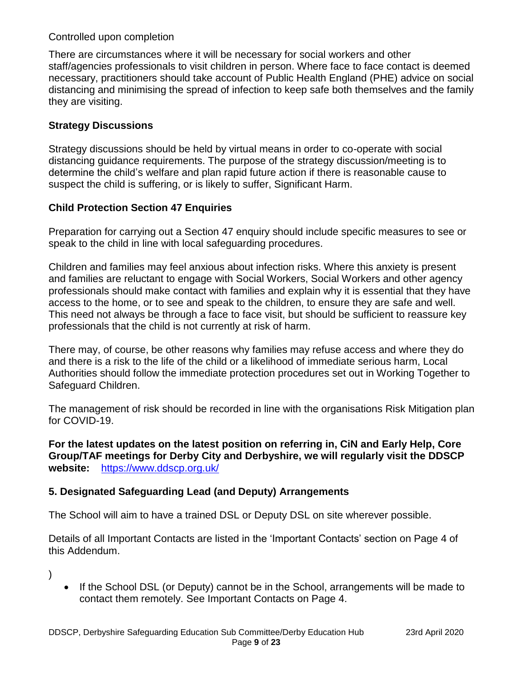There are circumstances where it will be necessary for social workers and other staff/agencies professionals to visit children in person. Where face to face contact is deemed necessary, practitioners should take account of Public Health England (PHE) advice on social distancing and minimising the spread of infection to keep safe both themselves and the family they are visiting.

## **Strategy Discussions**

Strategy discussions should be held by virtual means in order to co-operate with social distancing guidance requirements. The purpose of the strategy discussion/meeting is to determine the child's welfare and plan rapid future action if there is reasonable cause to suspect the child is suffering, or is likely to suffer, Significant Harm.

### **Child Protection Section 47 Enquiries**

Preparation for carrying out a Section 47 enquiry should include specific measures to see or speak to the child in line with local safeguarding procedures.

Children and families may feel anxious about infection risks. Where this anxiety is present and families are reluctant to engage with Social Workers, Social Workers and other agency professionals should make contact with families and explain why it is essential that they have access to the home, or to see and speak to the children, to ensure they are safe and well. This need not always be through a face to face visit, but should be sufficient to reassure key professionals that the child is not currently at risk of harm.

There may, of course, be other reasons why families may refuse access and where they do and there is a risk to the life of the child or a likelihood of immediate serious harm, Local Authorities should follow the immediate protection procedures set out in Working Together to Safeguard Children.

The management of risk should be recorded in line with the organisations Risk Mitigation plan for COVID-19.

**For the latest updates on the latest position on referring in, CiN and Early Help, Core Group/TAF meetings for Derby City and Derbyshire, we will regularly visit the DDSCP website:** <https://www.ddscp.org.uk/>

# **5. Designated Safeguarding Lead (and Deputy) Arrangements**

The School will aim to have a trained DSL or Deputy DSL on site wherever possible.

Details of all Important Contacts are listed in the 'Important Contacts' section on Page 4 of this Addendum.

)

 If the School DSL (or Deputy) cannot be in the School, arrangements will be made to contact them remotely. See Important Contacts on Page 4.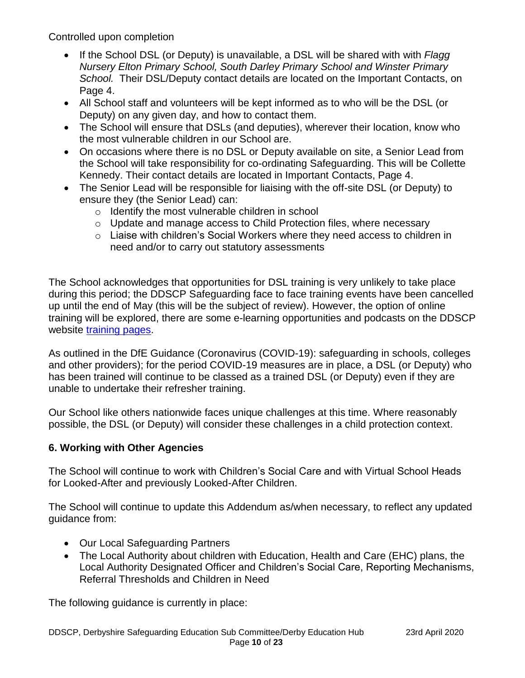- If the School DSL (or Deputy) is unavailable, a DSL will be shared with with *Flagg Nursery Elton Primary School, South Darley Primary School and Winster Primary School.* Their DSL/Deputy contact details are located on the Important Contacts, on Page 4.
- All School staff and volunteers will be kept informed as to who will be the DSL (or Deputy) on any given day, and how to contact them.
- The School will ensure that DSLs (and deputies), wherever their location, know who the most vulnerable children in our School are.
- On occasions where there is no DSL or Deputy available on site, a Senior Lead from the School will take responsibility for co-ordinating Safeguarding. This will be Collette Kennedy. Their contact details are located in Important Contacts, Page 4.
- The Senior Lead will be responsible for liaising with the off-site DSL (or Deputy) to ensure they (the Senior Lead) can:
	- o Identify the most vulnerable children in school
	- $\circ$  Update and manage access to Child Protection files, where necessary
	- o Liaise with children's Social Workers where they need access to children in need and/or to carry out statutory assessments

The School acknowledges that opportunities for DSL training is very unlikely to take place during this period; the DDSCP Safeguarding face to face training events have been cancelled up until the end of May (this will be the subject of review). However, the option of online training will be explored, there are some e-learning opportunities and podcasts on the DDSCP website [training pages.](https://www.ddscp.org.uk/training/)

As outlined in the DfE Guidance (Coronavirus (COVID-19): safeguarding in schools, colleges and other providers); for the period COVID-19 measures are in place, a DSL (or Deputy) who has been trained will continue to be classed as a trained DSL (or Deputy) even if they are unable to undertake their refresher training.

Our School like others nationwide faces unique challenges at this time. Where reasonably possible, the DSL (or Deputy) will consider these challenges in a child protection context.

# **6. Working with Other Agencies**

The School will continue to work with Children's Social Care and with Virtual School Heads for Looked-After and previously Looked-After Children.

The School will continue to update this Addendum as/when necessary, to reflect any updated guidance from:

- Our Local Safeguarding Partners
- The Local Authority about children with Education, Health and Care (EHC) plans, the Local Authority Designated Officer and Children's Social Care, Reporting Mechanisms, Referral Thresholds and Children in Need

The following guidance is currently in place: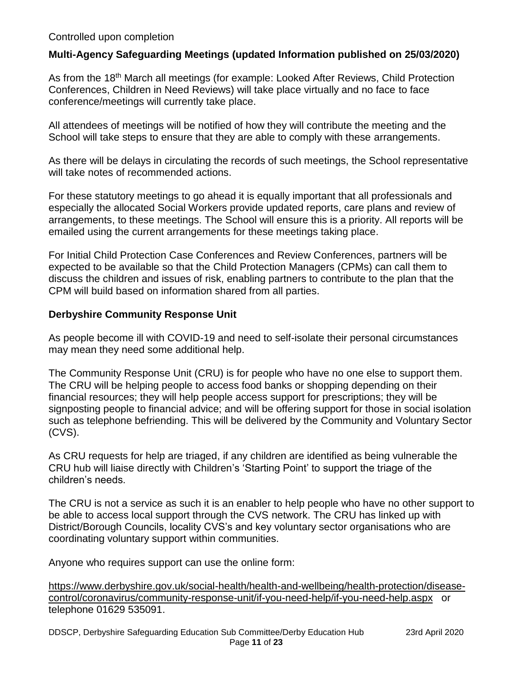#### **Multi-Agency Safeguarding Meetings (updated Information published on 25/03/2020)**

As from the 18<sup>th</sup> March all meetings (for example: Looked After Reviews, Child Protection Conferences, Children in Need Reviews) will take place virtually and no face to face conference/meetings will currently take place.

All attendees of meetings will be notified of how they will contribute the meeting and the School will take steps to ensure that they are able to comply with these arrangements.

As there will be delays in circulating the records of such meetings, the School representative will take notes of recommended actions.

For these statutory meetings to go ahead it is equally important that all professionals and especially the allocated Social Workers provide updated reports, care plans and review of arrangements, to these meetings. The School will ensure this is a priority. All reports will be emailed using the current arrangements for these meetings taking place.

For Initial Child Protection Case Conferences and Review Conferences, partners will be expected to be available so that the Child Protection Managers (CPMs) can call them to discuss the children and issues of risk, enabling partners to contribute to the plan that the CPM will build based on information shared from all parties.

#### **Derbyshire Community Response Unit**

As people become ill with COVID-19 and need to self-isolate their personal circumstances may mean they need some additional help.

The Community Response Unit (CRU) is for people who have no one else to support them. The CRU will be helping people to access food banks or shopping depending on their financial resources; they will help people access support for prescriptions; they will be signposting people to financial advice; and will be offering support for those in social isolation such as telephone befriending. This will be delivered by the Community and Voluntary Sector (CVS).

As CRU requests for help are triaged, if any children are identified as being vulnerable the CRU hub will liaise directly with Children's 'Starting Point' to support the triage of the children's needs.

The CRU is not a service as such it is an enabler to help people who have no other support to be able to access local support through the CVS network. The CRU has linked up with District/Borough Councils, locality CVS's and key voluntary sector organisations who are coordinating voluntary support within communities.

Anyone who requires support can use the online form:

[https://www.derbyshire.gov.uk/social-health/health-and-wellbeing/health-protection/disease](https://www.derbyshire.gov.uk/social-health/health-and-wellbeing/health-protection/disease-control/coronavirus/community-response-unit/if-you-need-help/if-you-need-help.aspx)[control/coronavirus/community-response-unit/if-you-need-help/if-you-need-help.aspx](https://www.derbyshire.gov.uk/social-health/health-and-wellbeing/health-protection/disease-control/coronavirus/community-response-unit/if-you-need-help/if-you-need-help.aspx) or telephone 01629 535091.

DDSCP, Derbyshire Safeguarding Education Sub Committee/Derby Education Hub 23rd April 2020 Page **11** of **23**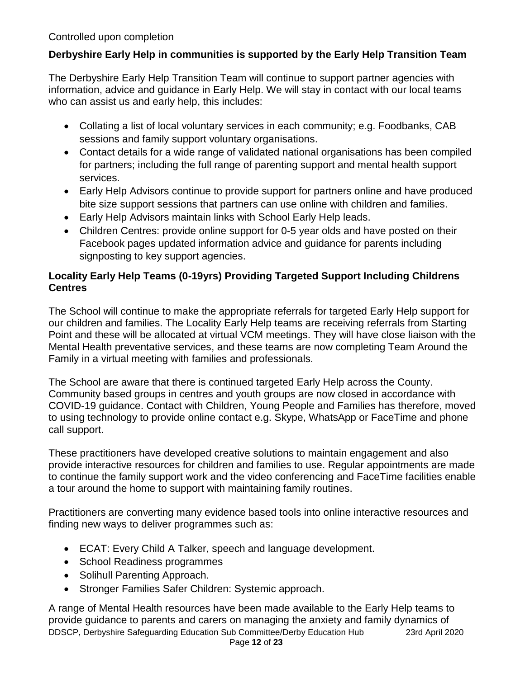# **Derbyshire Early Help in communities is supported by the Early Help Transition Team**

The Derbyshire Early Help Transition Team will continue to support partner agencies with information, advice and guidance in Early Help. We will stay in contact with our local teams who can assist us and early help, this includes:

- Collating a list of local voluntary services in each community; e.g. Foodbanks, CAB sessions and family support voluntary organisations.
- Contact details for a wide range of validated national organisations has been compiled for partners; including the full range of parenting support and mental health support services.
- Early Help Advisors continue to provide support for partners online and have produced bite size support sessions that partners can use online with children and families.
- Early Help Advisors maintain links with School Early Help leads.
- Children Centres: provide online support for 0-5 year olds and have posted on their Facebook pages updated information advice and guidance for parents including signposting to key support agencies.

# **Locality Early Help Teams (0-19yrs) Providing Targeted Support Including Childrens Centres**

The School will continue to make the appropriate referrals for targeted Early Help support for our children and families. The Locality Early Help teams are receiving referrals from Starting Point and these will be allocated at virtual VCM meetings. They will have close liaison with the Mental Health preventative services, and these teams are now completing Team Around the Family in a virtual meeting with families and professionals.

The School are aware that there is continued targeted Early Help across the County. Community based groups in centres and youth groups are now closed in accordance with COVID-19 guidance. Contact with Children, Young People and Families has therefore, moved to using technology to provide online contact e.g. Skype, WhatsApp or FaceTime and phone call support.

These practitioners have developed creative solutions to maintain engagement and also provide interactive resources for children and families to use. Regular appointments are made to continue the family support work and the video conferencing and FaceTime facilities enable a tour around the home to support with maintaining family routines.

Practitioners are converting many evidence based tools into online interactive resources and finding new ways to deliver programmes such as:

- ECAT: Every Child A Talker, speech and language development.
- School Readiness programmes
- Solihull Parenting Approach.
- Stronger Families Safer Children: Systemic approach.

DDSCP, Derbyshire Safeguarding Education Sub Committee/Derby Education Hub 23rd April 2020 A range of Mental Health resources have been made available to the Early Help teams to provide guidance to parents and carers on managing the anxiety and family dynamics of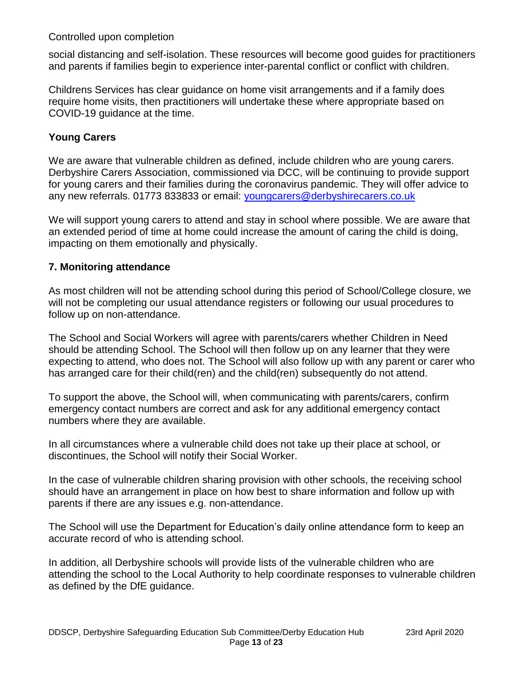social distancing and self-isolation. These resources will become good guides for practitioners and parents if families begin to experience inter-parental conflict or conflict with children.

Childrens Services has clear guidance on home visit arrangements and if a family does require home visits, then practitioners will undertake these where appropriate based on COVID-19 guidance at the time.

#### **Young Carers**

We are aware that vulnerable children as defined, include children who are young carers. Derbyshire Carers Association, commissioned via DCC, will be continuing to provide support for young carers and their families during the coronavirus pandemic. They will offer advice to any new referrals. 01773 833833 or email: [youngcarers@derbyshirecarers.co.uk](mailto:youngcarers@derbyshirecarers.co.uk)

We will support young carers to attend and stay in school where possible. We are aware that an extended period of time at home could increase the amount of caring the child is doing, impacting on them emotionally and physically.

#### **7. Monitoring attendance**

As most children will not be attending school during this period of School/College closure, we will not be completing our usual attendance registers or following our usual procedures to follow up on non-attendance.

The School and Social Workers will agree with parents/carers whether Children in Need should be attending School. The School will then follow up on any learner that they were expecting to attend, who does not. The School will also follow up with any parent or carer who has arranged care for their child(ren) and the child(ren) subsequently do not attend.

To support the above, the School will, when communicating with parents/carers, confirm emergency contact numbers are correct and ask for any additional emergency contact numbers where they are available.

In all circumstances where a vulnerable child does not take up their place at school, or discontinues, the School will notify their Social Worker.

In the case of vulnerable children sharing provision with other schools, the receiving school should have an arrangement in place on how best to share information and follow up with parents if there are any issues e.g. non-attendance.

The School will use the Department for Education's daily online attendance form to keep an accurate record of who is attending school.

In addition, all Derbyshire schools will provide lists of the vulnerable children who are attending the school to the Local Authority to help coordinate responses to vulnerable children as defined by the DfE guidance.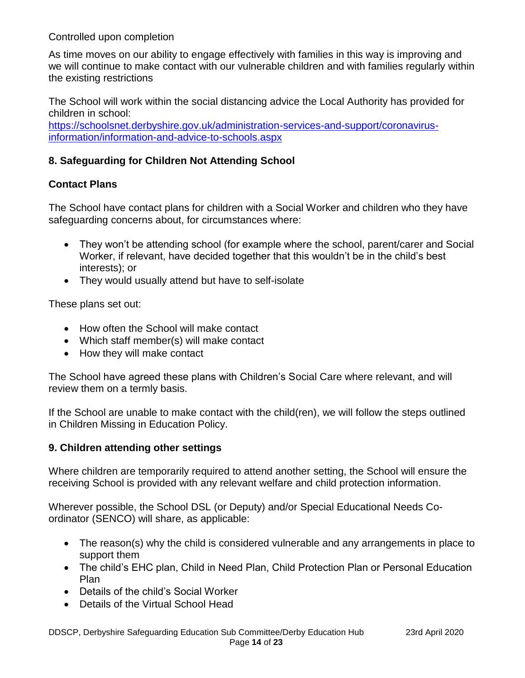As time moves on our ability to engage effectively with families in this way is improving and we will continue to make contact with our vulnerable children and with families regularly within the existing restrictions

The School will work within the social distancing advice the Local Authority has provided for children in school:

[https://schoolsnet.derbyshire.gov.uk/administration-services-and-support/coronavirus](https://schoolsnet.derbyshire.gov.uk/administration-services-and-support/coronavirus-information/information-and-advice-to-schools.aspx)[information/information-and-advice-to-schools.aspx](https://schoolsnet.derbyshire.gov.uk/administration-services-and-support/coronavirus-information/information-and-advice-to-schools.aspx)

# **8. Safeguarding for Children Not Attending School**

# **Contact Plans**

The School have contact plans for children with a Social Worker and children who they have safeguarding concerns about, for circumstances where:

- They won't be attending school (for example where the school, parent/carer and Social Worker, if relevant, have decided together that this wouldn't be in the child's best interests); or
- They would usually attend but have to self-isolate

These plans set out:

- How often the School will make contact
- Which staff member(s) will make contact
- How they will make contact

The School have agreed these plans with Children's Social Care where relevant, and will review them on a termly basis.

If the School are unable to make contact with the child(ren), we will follow the steps outlined in Children Missing in Education Policy.

#### **9. Children attending other settings**

Where children are temporarily required to attend another setting, the School will ensure the receiving School is provided with any relevant welfare and child protection information.

Wherever possible, the School DSL (or Deputy) and/or Special Educational Needs Coordinator (SENCO) will share, as applicable:

- The reason(s) why the child is considered vulnerable and any arrangements in place to support them
- The child's EHC plan, Child in Need Plan, Child Protection Plan or Personal Education Plan
- Details of the child's Social Worker
- Details of the Virtual School Head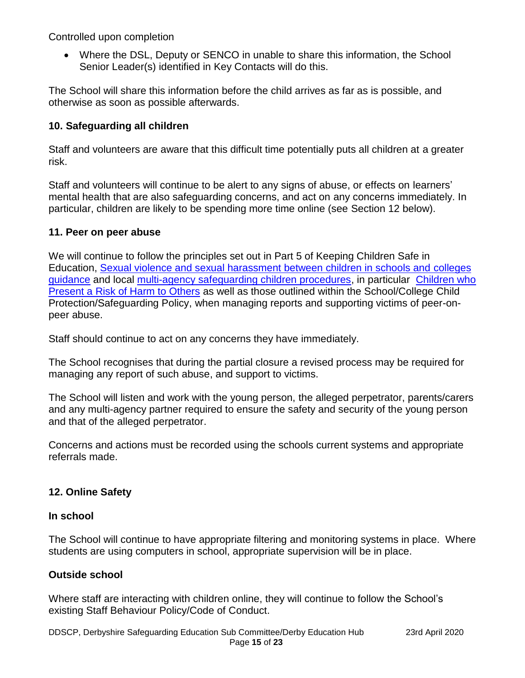Where the DSL, Deputy or SENCO in unable to share this information, the School Senior Leader(s) identified in Key Contacts will do this.

The School will share this information before the child arrives as far as is possible, and otherwise as soon as possible afterwards.

# **10. Safeguarding all children**

Staff and volunteers are aware that this difficult time potentially puts all children at a greater risk.

Staff and volunteers will continue to be alert to any signs of abuse, or effects on learners' mental health that are also safeguarding concerns, and act on any concerns immediately. In particular, children are likely to be spending more time online (see Section 12 below).

### **11. Peer on peer abuse**

We will continue to follow the principles set out in Part 5 of Keeping Children Safe in Education, [Sexual violence and sexual harassment between children in schools and](https://www.gov.uk/government/publications/sexual-violence-and-sexual-harassment-between-children-in-schools-and-colleges) colleges [guidance](https://www.gov.uk/government/publications/sexual-violence-and-sexual-harassment-between-children-in-schools-and-colleges) and local [multi-agency safeguarding children procedures,](https://derbyshirescbs.proceduresonline.com/contents.html) in particular [Children who](https://derbyshirescbs.proceduresonline.com/p_abuse_by_ch_yp.html)  [Present a Risk of Harm to Others](https://derbyshirescbs.proceduresonline.com/p_abuse_by_ch_yp.html) as well as those outlined within the School/College Child Protection/Safeguarding Policy, when managing reports and supporting victims of peer-onpeer abuse.

Staff should continue to act on any concerns they have immediately.

The School recognises that during the partial closure a revised process may be required for managing any report of such abuse, and support to victims.

The School will listen and work with the young person, the alleged perpetrator, parents/carers and any multi-agency partner required to ensure the safety and security of the young person and that of the alleged perpetrator.

Concerns and actions must be recorded using the schools current systems and appropriate referrals made.

# **12. Online Safety**

#### **In school**

The School will continue to have appropriate filtering and monitoring systems in place. Where students are using computers in school, appropriate supervision will be in place.

# **Outside school**

Where staff are interacting with children online, they will continue to follow the School's existing Staff Behaviour Policy/Code of Conduct.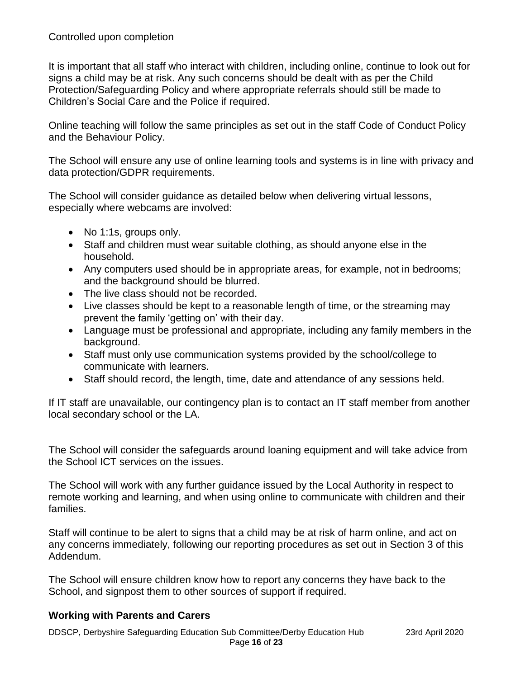It is important that all staff who interact with children, including online, continue to look out for signs a child may be at risk. Any such concerns should be dealt with as per the Child Protection/Safeguarding Policy and where appropriate referrals should still be made to Children's Social Care and the Police if required.

Online teaching will follow the same principles as set out in the staff Code of Conduct Policy and the Behaviour Policy.

The School will ensure any use of online learning tools and systems is in line with privacy and data protection/GDPR requirements.

The School will consider guidance as detailed below when delivering virtual lessons, especially where webcams are involved:

- No 1:1s, groups only.
- Staff and children must wear suitable clothing, as should anyone else in the household.
- Any computers used should be in appropriate areas, for example, not in bedrooms; and the background should be blurred.
- The live class should not be recorded.
- Live classes should be kept to a reasonable length of time, or the streaming may prevent the family 'getting on' with their day.
- Language must be professional and appropriate, including any family members in the background.
- Staff must only use communication systems provided by the school/college to communicate with learners.
- Staff should record, the length, time, date and attendance of any sessions held.

If IT staff are unavailable, our contingency plan is to contact an IT staff member from another local secondary school or the LA.

The School will consider the safeguards around loaning equipment and will take advice from the School ICT services on the issues.

The School will work with any further guidance issued by the Local Authority in respect to remote working and learning, and when using online to communicate with children and their families.

Staff will continue to be alert to signs that a child may be at risk of harm online, and act on any concerns immediately, following our reporting procedures as set out in Section 3 of this Addendum.

The School will ensure children know how to report any concerns they have back to the School, and signpost them to other sources of support if required.

#### **Working with Parents and Carers**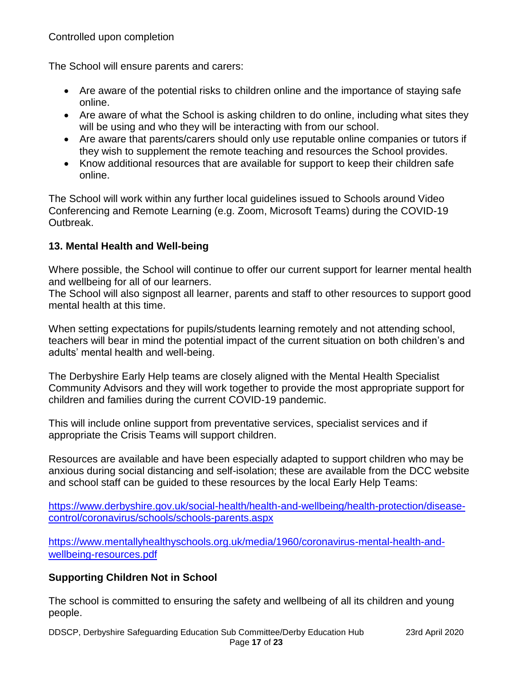The School will ensure parents and carers:

- Are aware of the potential risks to children online and the importance of staying safe online.
- Are aware of what the School is asking children to do online, including what sites they will be using and who they will be interacting with from our school.
- Are aware that parents/carers should only use reputable online companies or tutors if they wish to supplement the remote teaching and resources the School provides.
- Know additional resources that are available for support to keep their children safe online.

The School will work within any further local guidelines issued to Schools around Video Conferencing and Remote Learning (e.g. Zoom, Microsoft Teams) during the COVID-19 Outbreak.

# **13. Mental Health and Well-being**

Where possible, the School will continue to offer our current support for learner mental health and wellbeing for all of our learners.

The School will also signpost all learner, parents and staff to other resources to support good mental health at this time.

When setting expectations for pupils/students learning remotely and not attending school, teachers will bear in mind the potential impact of the current situation on both children's and adults' mental health and well-being.

The Derbyshire Early Help teams are closely aligned with the Mental Health Specialist Community Advisors and they will work together to provide the most appropriate support for children and families during the current COVID-19 pandemic.

This will include online support from preventative services, specialist services and if appropriate the Crisis Teams will support children.

Resources are available and have been especially adapted to support children who may be anxious during social distancing and self-isolation; these are available from the DCC website and school staff can be guided to these resources by the local Early Help Teams:

[https://www.derbyshire.gov.uk/social-health/health-and-wellbeing/health-protection/disease](https://www.derbyshire.gov.uk/social-health/health-and-wellbeing/health-protection/disease-control/coronavirus/schools/schools-parents.aspx)[control/coronavirus/schools/schools-parents.aspx](https://www.derbyshire.gov.uk/social-health/health-and-wellbeing/health-protection/disease-control/coronavirus/schools/schools-parents.aspx)

[https://www.mentallyhealthyschools.org.uk/media/1960/coronavirus-mental-health-and](https://www.mentallyhealthyschools.org.uk/media/1960/coronavirus-mental-health-and-wellbeing-resources.pdf)[wellbeing-resources.pdf](https://www.mentallyhealthyschools.org.uk/media/1960/coronavirus-mental-health-and-wellbeing-resources.pdf)

# **Supporting Children Not in School**

The school is committed to ensuring the safety and wellbeing of all its children and young people.

DDSCP, Derbyshire Safeguarding Education Sub Committee/Derby Education Hub 23rd April 2020 Page **17** of **23**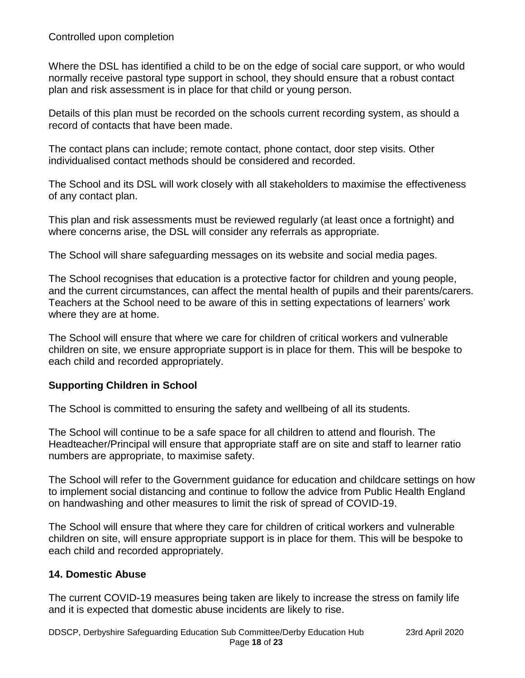Where the DSL has identified a child to be on the edge of social care support, or who would normally receive pastoral type support in school, they should ensure that a robust contact plan and risk assessment is in place for that child or young person.

Details of this plan must be recorded on the schools current recording system, as should a record of contacts that have been made.

The contact plans can include; remote contact, phone contact, door step visits. Other individualised contact methods should be considered and recorded.

The School and its DSL will work closely with all stakeholders to maximise the effectiveness of any contact plan.

This plan and risk assessments must be reviewed regularly (at least once a fortnight) and where concerns arise, the DSL will consider any referrals as appropriate.

The School will share safeguarding messages on its website and social media pages.

The School recognises that education is a protective factor for children and young people, and the current circumstances, can affect the mental health of pupils and their parents/carers. Teachers at the School need to be aware of this in setting expectations of learners' work where they are at home.

The School will ensure that where we care for children of critical workers and vulnerable children on site, we ensure appropriate support is in place for them. This will be bespoke to each child and recorded appropriately.

#### **Supporting Children in School**

The School is committed to ensuring the safety and wellbeing of all its students.

The School will continue to be a safe space for all children to attend and flourish. The Headteacher/Principal will ensure that appropriate staff are on site and staff to learner ratio numbers are appropriate, to maximise safety.

The School will refer to the Government guidance for education and childcare settings on how to implement social distancing and continue to follow the advice from Public Health England on handwashing and other measures to limit the risk of spread of COVID-19.

The School will ensure that where they care for children of critical workers and vulnerable children on site, will ensure appropriate support is in place for them. This will be bespoke to each child and recorded appropriately.

#### **14. Domestic Abuse**

The current COVID-19 measures being taken are likely to increase the stress on family life and it is expected that domestic abuse incidents are likely to rise.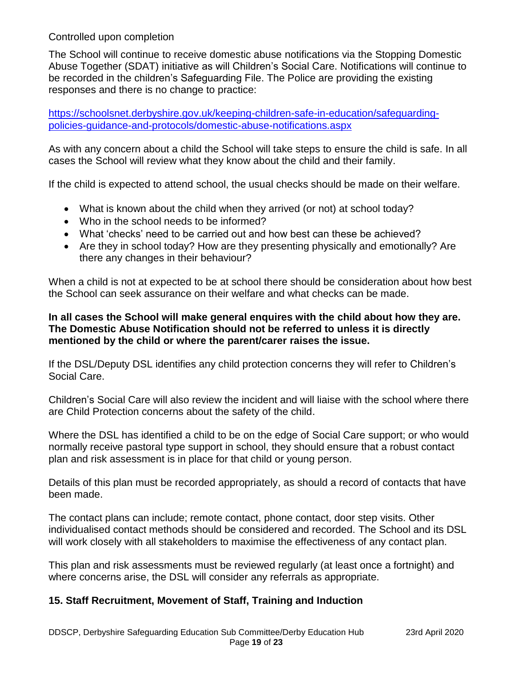The School will continue to receive domestic abuse notifications via the Stopping Domestic Abuse Together (SDAT) initiative as will Children's Social Care. Notifications will continue to be recorded in the children's Safeguarding File. The Police are providing the existing responses and there is no change to practice:

[https://schoolsnet.derbyshire.gov.uk/keeping-children-safe-in-education/safeguarding](https://schoolsnet.derbyshire.gov.uk/keeping-children-safe-in-education/safeguarding-policies-guidance-and-protocols/domestic-abuse-notifications.aspx)[policies-guidance-and-protocols/domestic-abuse-notifications.aspx](https://schoolsnet.derbyshire.gov.uk/keeping-children-safe-in-education/safeguarding-policies-guidance-and-protocols/domestic-abuse-notifications.aspx)

As with any concern about a child the School will take steps to ensure the child is safe. In all cases the School will review what they know about the child and their family.

If the child is expected to attend school, the usual checks should be made on their welfare.

- What is known about the child when they arrived (or not) at school today?
- Who in the school needs to be informed?
- What 'checks' need to be carried out and how best can these be achieved?
- Are they in school today? How are they presenting physically and emotionally? Are there any changes in their behaviour?

When a child is not at expected to be at school there should be consideration about how best the School can seek assurance on their welfare and what checks can be made.

#### **In all cases the School will make general enquires with the child about how they are. The Domestic Abuse Notification should not be referred to unless it is directly mentioned by the child or where the parent/carer raises the issue.**

If the DSL/Deputy DSL identifies any child protection concerns they will refer to Children's Social Care.

Children's Social Care will also review the incident and will liaise with the school where there are Child Protection concerns about the safety of the child.

Where the DSL has identified a child to be on the edge of Social Care support; or who would normally receive pastoral type support in school, they should ensure that a robust contact plan and risk assessment is in place for that child or young person.

Details of this plan must be recorded appropriately, as should a record of contacts that have been made.

The contact plans can include; remote contact, phone contact, door step visits. Other individualised contact methods should be considered and recorded. The School and its DSL will work closely with all stakeholders to maximise the effectiveness of any contact plan.

This plan and risk assessments must be reviewed regularly (at least once a fortnight) and where concerns arise, the DSL will consider any referrals as appropriate.

# **15. Staff Recruitment, Movement of Staff, Training and Induction**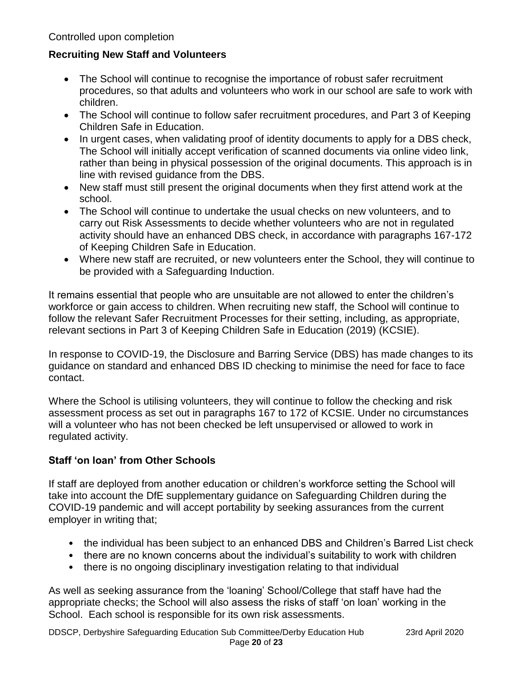### **Recruiting New Staff and Volunteers**

- The School will continue to recognise the importance of robust safer recruitment procedures, so that adults and volunteers who work in our school are safe to work with children.
- The School will continue to follow safer recruitment procedures, and Part 3 of Keeping Children Safe in Education.
- In urgent cases, when validating proof of identity documents to apply for a DBS check, The School will initially accept verification of scanned documents via online video link, rather than being in physical possession of the original documents. This approach is in line with revised guidance from the DBS.
- New staff must still present the original documents when they first attend work at the school.
- The School will continue to undertake the usual checks on new volunteers, and to carry out Risk Assessments to decide whether volunteers who are not in regulated activity should have an enhanced DBS check, in accordance with paragraphs 167-172 of Keeping Children Safe in Education.
- Where new staff are recruited, or new volunteers enter the School, they will continue to be provided with a Safeguarding Induction.

It remains essential that people who are unsuitable are not allowed to enter the children's workforce or gain access to children. When recruiting new staff, the School will continue to follow the relevant Safer Recruitment Processes for their setting, including, as appropriate, relevant sections in Part 3 of Keeping Children Safe in Education (2019) (KCSIE).

In response to COVID-19, the Disclosure and Barring Service (DBS) has made changes to its guidance on standard and enhanced DBS ID checking to minimise the need for face to face contact.

Where the School is utilising volunteers, they will continue to follow the checking and risk assessment process as set out in paragraphs 167 to 172 of KCSIE. Under no circumstances will a volunteer who has not been checked be left unsupervised or allowed to work in regulated activity.

# **Staff 'on loan' from Other Schools**

If staff are deployed from another education or children's workforce setting the School will take into account the DfE supplementary guidance on Safeguarding Children during the COVID-19 pandemic and will accept portability by seeking assurances from the current employer in writing that;

- the individual has been subject to an enhanced DBS and Children's Barred List check
- there are no known concerns about the individual's suitability to work with children
- there is no ongoing disciplinary investigation relating to that individual

As well as seeking assurance from the 'loaning' School/College that staff have had the appropriate checks; the School will also assess the risks of staff 'on loan' working in the School. Each school is responsible for its own risk assessments.

DDSCP, Derbyshire Safeguarding Education Sub Committee/Derby Education Hub 23rd April 2020 Page **20** of **23**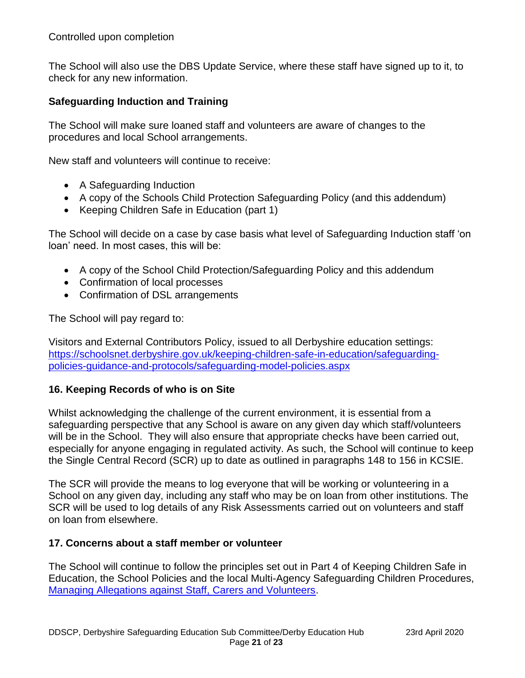The School will also use the DBS Update Service, where these staff have signed up to it, to check for any new information.

#### **Safeguarding Induction and Training**

The School will make sure loaned staff and volunteers are aware of changes to the procedures and local School arrangements.

New staff and volunteers will continue to receive:

- A Safeguarding Induction
- A copy of the Schools Child Protection Safeguarding Policy (and this addendum)
- Keeping Children Safe in Education (part 1)

The School will decide on a case by case basis what level of Safeguarding Induction staff 'on loan' need. In most cases, this will be:

- A copy of the School Child Protection/Safeguarding Policy and this addendum
- Confirmation of local processes
- Confirmation of DSL arrangements

The School will pay regard to:

Visitors and External Contributors Policy, issued to all Derbyshire education settings: [https://schoolsnet.derbyshire.gov.uk/keeping-children-safe-in-education/safeguarding](https://schoolsnet.derbyshire.gov.uk/keeping-children-safe-in-education/safeguarding-policies-guidance-and-protocols/safeguarding-model-policies.aspx)[policies-guidance-and-protocols/safeguarding-model-policies.aspx](https://schoolsnet.derbyshire.gov.uk/keeping-children-safe-in-education/safeguarding-policies-guidance-and-protocols/safeguarding-model-policies.aspx)

#### **16. Keeping Records of who is on Site**

Whilst acknowledging the challenge of the current environment, it is essential from a safeguarding perspective that any School is aware on any given day which staff/volunteers will be in the School. They will also ensure that appropriate checks have been carried out, especially for anyone engaging in regulated activity. As such, the School will continue to keep the Single Central Record (SCR) up to date as outlined in paragraphs 148 to 156 in KCSIE.

The SCR will provide the means to log everyone that will be working or volunteering in a School on any given day, including any staff who may be on loan from other institutions. The SCR will be used to log details of any Risk Assessments carried out on volunteers and staff on loan from elsewhere.

#### **17. Concerns about a staff member or volunteer**

The School will continue to follow the principles set out in Part 4 of Keeping Children Safe in Education, the School Policies and the local Multi-Agency Safeguarding Children Procedures, [Managing Allegations against Staff, Carers and Volunteers.](https://derbyshirescbs.proceduresonline.com/p_alleg_staff_carer_volunteer.html)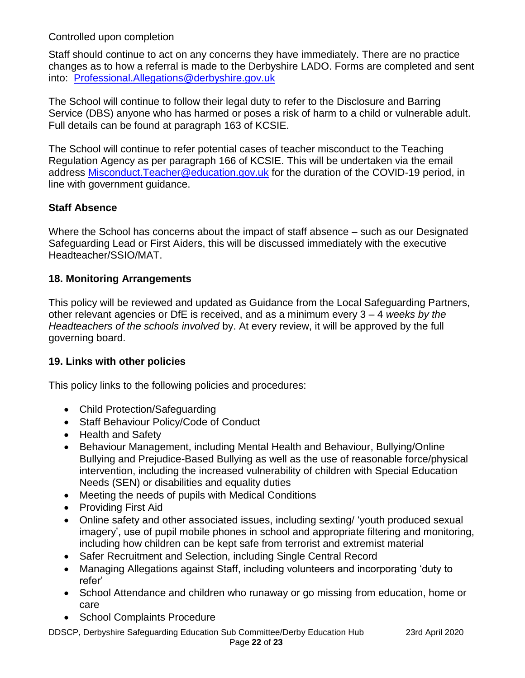Staff should continue to act on any concerns they have immediately. There are no practice changes as to how a referral is made to the Derbyshire LADO. Forms are completed and sent into: [Professional.Allegations@derbyshire.gov.uk](mailto:Professional.Allegations@derbyshire.gov.uk)

The School will continue to follow their legal duty to refer to the Disclosure and Barring Service (DBS) anyone who has harmed or poses a risk of harm to a child or vulnerable adult. Full details can be found at paragraph 163 of KCSIE.

The School will continue to refer potential cases of teacher misconduct to the Teaching Regulation Agency as per paragraph 166 of KCSIE. This will be undertaken via the email address Misconduct. Teacher@education.gov.uk for the duration of the COVID-19 period, in line with government guidance.

# **Staff Absence**

Where the School has concerns about the impact of staff absence – such as our Designated Safeguarding Lead or First Aiders, this will be discussed immediately with the executive Headteacher/SSIO/MAT.

# **18. Monitoring Arrangements**

This policy will be reviewed and updated as Guidance from the Local Safeguarding Partners, other relevant agencies or DfE is received, and as a minimum every 3 – 4 *weeks by the Headteachers of the schools involved* by. At every review, it will be approved by the full governing board.

# **19. Links with other policies**

This policy links to the following policies and procedures:

- Child Protection/Safeguarding
- Staff Behaviour Policy/Code of Conduct
- Health and Safety
- Behaviour Management, including Mental Health and Behaviour, Bullying/Online Bullying and Prejudice-Based Bullying as well as the use of reasonable force/physical intervention, including the increased vulnerability of children with Special Education Needs (SEN) or disabilities and equality duties
- Meeting the needs of pupils with Medical Conditions
- Providing First Aid
- Online safety and other associated issues, including sexting/ 'youth produced sexual imagery', use of pupil mobile phones in school and appropriate filtering and monitoring, including how children can be kept safe from terrorist and extremist material
- Safer Recruitment and Selection, including Single Central Record
- Managing Allegations against Staff, including volunteers and incorporating 'duty to refer'
- School Attendance and children who runaway or go missing from education, home or care
- School Complaints Procedure

DDSCP, Derbyshire Safeguarding Education Sub Committee/Derby Education Hub 23rd April 2020